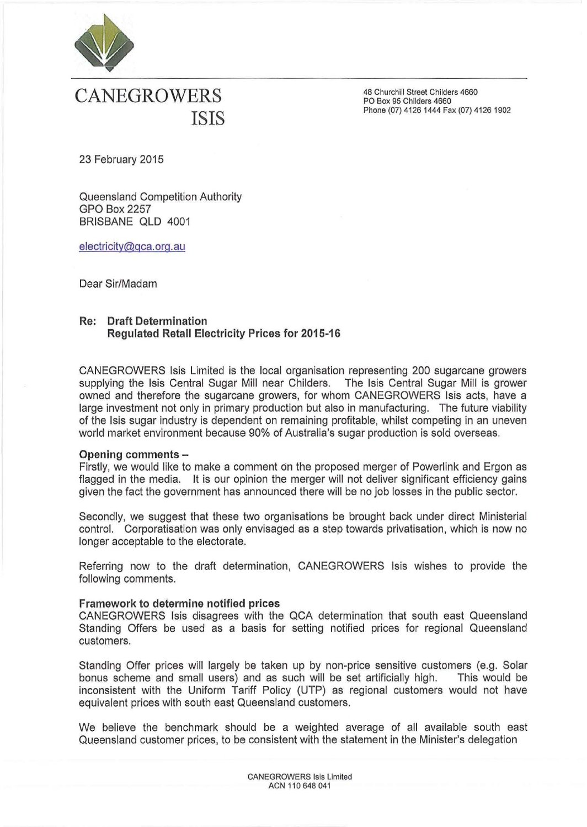

# **CANEGROWERS** ISIS

48 Churchill Street Childers 4660 PO Box 95 Childers 4660 Phone (07) 4126 1444 Fax (07) 4126 1902

23 February 2015

Queensland Competition Authority GPO Box 2257 BRISBANE QLD 4001

electricity@gca.org.au

Dear Sir/Madam

## Re: Draft Determination Regulated Retail Electricity Prices for 2015-16

CANEGROWERS Isis Limited is the local organisation representing 200 sugarcane growers supplying the Isis Central Sugar Mill near Childers. The Isis Central Sugar Mill is grower owned and therefore the sugarcane growers, for whom CANEGROWERS Isis acts, have a large investment not only in primary production but also in manufacturing. The future viability of the Isis sugar industry is dependent on remaining profitable, whilst competing in an uneven world market environment because 90% of Australia's sugar production is sold overseas.

## Opening comments-

Firstly, we would like to make a comment on the proposed merger of Powerlink and Ergon as flagged in the media. It is our opinion the merger will not deliver significant efficiency gains given the fact the government has announced there will be no job losses in the public sector.

Secondly, we suggest that these two organisations be brought back under direct Ministerial control. Corporatisation was only envisaged as a step towards privatisation, which is now no longer acceptable to the electorate.

Referring now to the draft determination, CANEGROWERS Isis wishes to provide the following comments.

## Framework to determine notified prices

CANEGROWERS Isis disagrees with the QCA determination that south east Queensland Standing Offers be used as a basis for setting notified prices for regional Queensland customers.

Standing Offer prices will largely be taken up by non-price sensitive customers (e.g. Solar bonus scheme and small users) and as such will be set artificially high. This would be inconsistent with the Uniform Tariff Policy (UTP) as regional customers would not have equivalent prices with south east Queensland customers.

We believe the benchmark should be a weighted average of all available south east Queensland customer prices, to be consistent with the statement in the Minister's delegation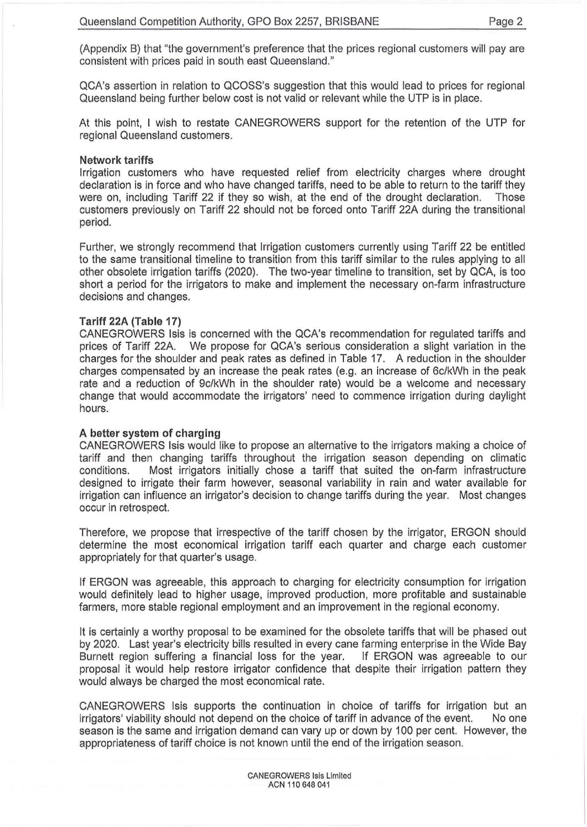(Appendix B) that "the government's preference that the prices regional customers will pay are consistent with prices paid in south east Queensland."

QCA's assertion in relation to QCOSS's suggestion that this would lead to prices for regional Queensland being further below cost is not valid or relevant while the UTP is in place.

At this point, I wish to restate CANEGROWERS support for the retention of the UTP for regional Queensland customers.

#### **Network tariffs**

Irrigation customers who have requested relief from electricity charges where drought declaration is in force and who have changed tariffs, need to be able to return to the tariff they were on, including Tariff 22 if they so wish, at the end of the drought declaration. Those customers previously on Tariff 22 should not be forced onto Tariff 22A during the transitional period.

Further, we strongly recommend that Irrigation customers currently using Tariff 22 be entitled to the same transitional timeline to transition from this tariff similar to the rules applying to all other obsolete irrigation tariffs (2020). The two~year timeline to transition, set by QCA, is too short a period for the irrigators to make and implement the necessary on~farm infrastructure decisions and changes.

#### **Tariff 22A (Table 17)**

CANEGROWERS Isis is concerned with the QCA's recommendation for regulated tariffs and prices of Tariff 22A. We propose for QCA's serious consideration a slight variation in the charges for the shoulder and peak rates as defined in Table 17. A reduction in the shoulder charges compensated by an increase the peak rates (e.g. an increase of 6c/kWh in the peak rate and a reduction of 9c/kWh in the shoulder rate) would be a welcome and necessary change that would accommodate the irrigators' need to commence irrigation during daylight hours.

## **A better system of charging**

CANEGROWERS Isis would like to propose an alternative to the irrigators making a choice of tariff and then changing tariffs throughout the irrigation season depending on climatic conditions. Most irrigators initially chose a tariff that suited the on-farm infrastructure designed to irrigate their farm however, seasonal variability in rain and water available for irrigation can influence an irrigator's decision to change tariffs during the year. Most changes occur in retrospect.

Therefore, we propose that irrespective of the tariff chosen by the irrigator, ERGON should determine the most economical irrigation tariff each quarter and charge each customer appropriately for that quarter's usage.

If ERGON was agreeable, this approach to charging for electricity consumption for irrigation would definitely lead to higher usage, improved production, more profitable and sustainable farmers, more stable regional employment and an improvement in the regional economy.

It is certainly a worthy proposal to be examined for the obsolete tariffs that will be phased out by 2020. Last year's electricity bills resulted in every cane farming enterprise in the Wide Bay Burnett region suffering a financial loss for the year. If ERGON was agreeable to our proposal it would help restore irrigator confidence that despite their irrigation pattern they would always be charged the most economical rate.

CANEGROWERS Isis supports the continuation in choice of tariffs for irrigation but an irrigators' viability should not depend on the choice of tariff in advance of the event. No one season is the same and irrigation demand can vary up or down by 100 per cent. However, the appropriateness of tariff choice is not known until the end of the irrigation season.